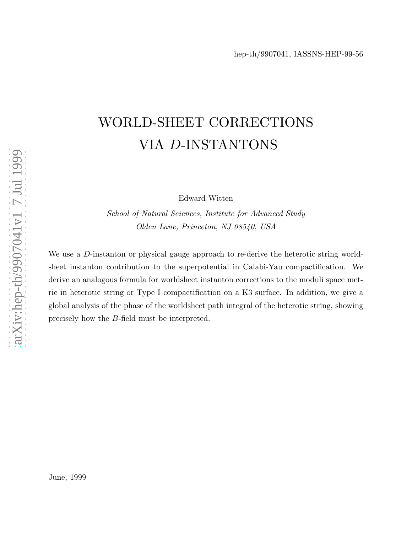# WORLD-SHEET CORRECTIONS VIA D-INSTANTONS

Edward Witten

School of Natural Sciences, Institute for Advanced Study Olden Lane, Princeton, NJ 08540, USA

We use a D-instanton or physical gauge approach to re-derive the heterotic string worldsheet instanton contribution to the superpotential in Calabi-Yau compactification. We derive an analogous formula for worldsheet instanton corrections to the moduli space metric in heterotic string or Type I compactification on a K3 surface. In addition, we give a global analysis of the phase of the worldsheet path integral of the heterotic string, showing precisely how the B-field must be interpreted.

June, 1999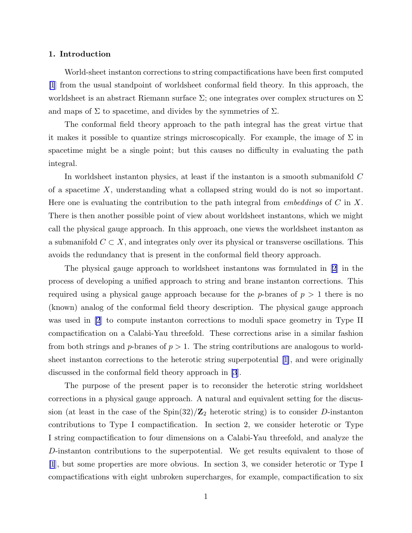# 1. Introduction

World-sheet instanton corrections to string compactifications have been first computed [\[1](#page-18-0)] from the usual standpoint of worldsheet conformal field theory. In this approach, the worldsheet is an abstract Riemann surface  $\Sigma$ ; one integrates over complex structures on  $\Sigma$ and maps of  $\Sigma$  to spacetime, and divides by the symmetries of  $\Sigma$ .

The conformal field theory approach to the path integral has the great virtue that it makes it possible to quantize strings microscopically. For example, the image of  $\Sigma$  in spacetime might be a single point; but this causes no difficulty in evaluating the path integral.

In worldsheet instanton physics, at least if the instanton is a smooth submanifold C of a spacetime  $X$ , understanding what a collapsed string would do is not so important. Here one is evaluating the contribution to the path integral from *embeddings* of C in X. There is then another possible point of view about worldsheet instantons, which we might call the physical gauge approach. In this approach, one views the worldsheet instanton as a submanifold  $C \subset X$ , and integrates only over its physical or transverse oscillations. This avoids the redundancy that is present in the conformal field theory approach.

The physical gauge approach to worldsheet instantons was formulated in [\[2](#page-18-0)] in the process of developing a unified approach to string and brane instanton corrections. This required using a physical gauge approach because for the p-branes of  $p > 1$  there is no (known) analog of the conformal field theory description. The physical gauge approach was used in [\[2](#page-18-0)] to compute instanton corrections to moduli space geometry in Type II compactification on a Calabi-Yau threefold. These corrections arise in a similar fashion from both strings and  $p$ -branes of  $p > 1$ . The string contributions are analogous to worldsheet instanton corrections to the heterotic string superpotential[[1\]](#page-18-0), and were originally discussed in the conformal field theory approach in [\[3](#page-18-0)].

The purpose of the present paper is to reconsider the heterotic string worldsheet corrections in a physical gauge approach. A natural and equivalent setting for the discussion (at least in the case of the  $\text{Spin}(32)/\mathbb{Z}_2$  heterotic string) is to consider D-instanton contributions to Type I compactification. In section 2, we consider heterotic or Type I string compactification to four dimensions on a Calabi-Yau threefold, and analyze the D-instanton contributions to the superpotential. We get results equivalent to those of [\[1](#page-18-0)], but some properties are more obvious. In section 3, we consider heterotic or Type I compactifications with eight unbroken supercharges, for example, compactification to six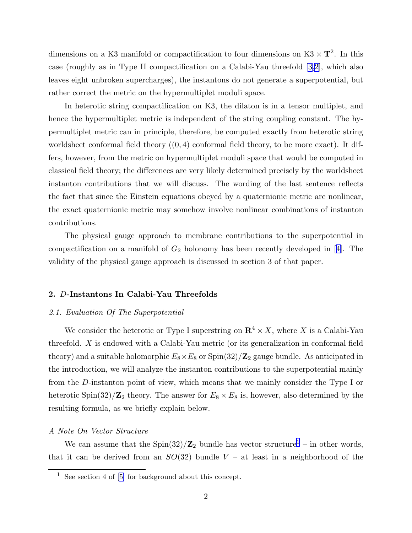dimensions on a K3 manifold or compactification to four dimensions on  $K3 \times T^2$ . In this case (roughly as in Type II compactification on a Calabi-Yau threefold [\[3](#page-18-0),[2\]](#page-18-0), which also leaves eight unbroken supercharges), the instantons do not generate a superpotential, but rather correct the metric on the hypermultiplet moduli space.

In heterotic string compactification on K3, the dilaton is in a tensor multiplet, and hence the hypermultiplet metric is independent of the string coupling constant. The hypermultiplet metric can in principle, therefore, be computed exactly from heterotic string worldsheet conformal field theory  $(0, 4)$  conformal field theory, to be more exact). It differs, however, from the metric on hypermultiplet moduli space that would be computed in classical field theory; the differences are very likely determined precisely by the worldsheet instanton contributions that we will discuss. The wording of the last sentence reflects the fact that since the Einstein equations obeyed by a quaternionic metric are nonlinear, the exact quaternionic metric may somehow involve nonlinear combinations of instanton contributions.

The physical gauge approach to membrane contributions to the superpotential in compactificationon a manifold of  $G_2$  holonomy has been recently developed in [[4\]](#page-18-0). The validity of the physical gauge approach is discussed in section 3 of that paper.

# 2. D-Instantons In Calabi-Yau Threefolds

#### 2.1. Evaluation Of The Superpotential

We consider the heterotic or Type I superstring on  $\mathbb{R}^4 \times X$ , where X is a Calabi-Yau threefold. X is endowed with a Calabi-Yau metric (or its generalization in conformal field theory) and a suitable holomorphic  $E_8 \times E_8$  or  $\text{Spin}(32)/\mathbb{Z}_2$  gauge bundle. As anticipated in the introduction, we will analyze the instanton contributions to the superpotential mainly from the D-instanton point of view, which means that we mainly consider the Type I or heterotic Spin(32)/ $\mathbb{Z}_2$  theory. The answer for  $E_8 \times E_8$  is, however, also determined by the resulting formula, as we briefly explain below.

#### A Note On Vector Structure

We can assume that the  $\text{Spin}(32)/\mathbb{Z}_2$  bundle has vector structure<sup>1</sup> – in other words, that it can be derived from an  $SO(32)$  bundle  $V$  – at least in a neighborhood of the

<sup>&</sup>lt;sup>1</sup> See section 4 of  $[5]$  for background about this concept.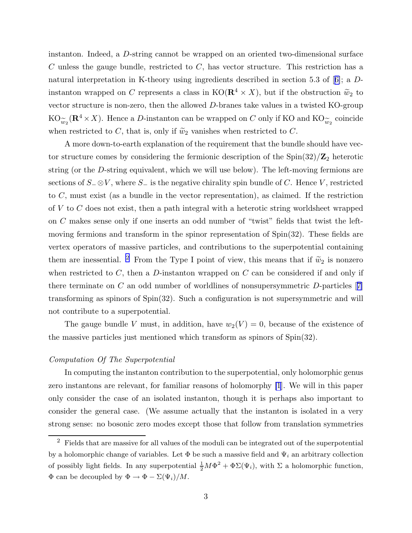instanton. Indeed, a D-string cannot be wrapped on an oriented two-dimensional surface  $C$  unless the gauge bundle, restricted to  $C$ , has vector structure. This restriction has a natural interpretation in K-theory using ingredients described in section 5.3 of[[6\]](#page-18-0); a Dinstanton wrapped on C represents a class in  $KO(\mathbf{R}^4 \times X)$ , but if the obstruction  $\tilde{w}_2$  to vector structure is non-zero, then the allowed D-branes take values in a twisted KO-group  $KO_{\widetilde{w}_2}(\mathbf{R}^4 \times X)$ . Hence a *D*-instanton can be wrapped on *C* only if KO and KO<sub> $\widetilde{w}_2$ </sub> coincide when restricted to C, that is, only if  $\tilde{\omega}_2$  vanishes when restricted to C.

A more down-to-earth explanation of the requirement that the bundle should have vector structure comes by considering the fermionic description of the  $\text{Spin}(32)/\mathbb{Z}_2$  heterotic string (or the D-string equivalent, which we will use below). The left-moving fermions are sections of S<sup>−</sup> ⊗V , where S<sup>−</sup> is the negative chirality spin bundle of C. Hence V , restricted to C, must exist (as a bundle in the vector representation), as claimed. If the restriction of  $V$  to  $C$  does not exist, then a path integral with a heterotic string worldsheet wrapped on C makes sense only if one inserts an odd number of "twist" fields that twist the leftmoving fermions and transform in the spinor representation of  $Spin(32)$ . These fields are vertex operators of massive particles, and contributions to the superpotential containing them are inessential. <sup>2</sup> From the Type I point of view, this means that if  $\tilde{w}_2$  is nonzero when restricted to  $C$ , then a  $D$ -instanton wrapped on  $C$  can be considered if and only if thereterminate on C an odd number of worldlines of nonsupersymmetric  $D$ -particles [[7\]](#page-18-0) transforming as spinors of Spin(32). Such a configuration is not supersymmetric and will not contribute to a superpotential.

The gauge bundle V must, in addition, have  $w_2(V) = 0$ , because of the existence of the massive particles just mentioned which transform as spinors of Spin(32).

#### Computation Of The Superpotential

In computing the instanton contribution to the superpotential, only holomorphic genus zero instantons are relevant, for familiar reasons of holomorphy [\[1](#page-18-0)]. We will in this paper only consider the case of an isolated instanton, though it is perhaps also important to consider the general case. (We assume actually that the instanton is isolated in a very strong sense: no bosonic zero modes except those that follow from translation symmetries

<sup>2</sup> Fields that are massive for all values of the moduli can be integrated out of the superpotential by a holomorphic change of variables. Let  $\Phi$  be such a massive field and  $\Psi_i$  an arbitrary collection of possibly light fields. In any superpotential  $\frac{1}{2}M\Phi^2 + \Phi\Sigma(\Psi_i)$ , with  $\Sigma$  a holomorphic function,  $\Phi$  can be decoupled by  $\Phi \to \Phi - \Sigma(\Psi_i)/M$ .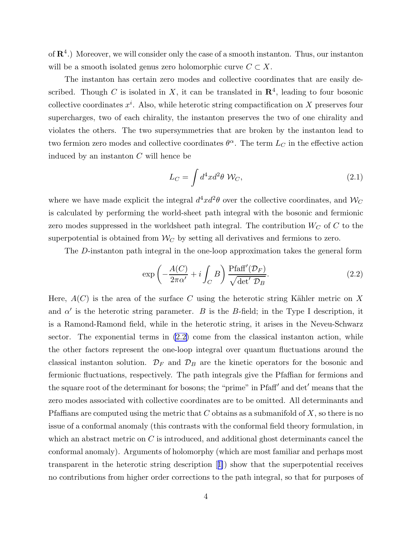<span id="page-4-0"></span>of  $\mathbb{R}^4$ .) Moreover, we will consider only the case of a smooth instanton. Thus, our instanton will be a smooth isolated genus zero holomorphic curve  $C \subset X$ .

The instanton has certain zero modes and collective coordinates that are easily described. Though C is isolated in X, it can be translated in  $\mathbb{R}^4$ , leading to four bosonic collective coordinates  $x^i$ . Also, while heterotic string compactification on X preserves four supercharges, two of each chirality, the instanton preserves the two of one chirality and violates the others. The two supersymmetries that are broken by the instanton lead to two fermion zero modes and collective coordinates  $\theta^{\alpha}$ . The term  $L_C$  in the effective action induced by an instanton C will hence be

$$
L_C = \int d^4x d^2\theta \, \mathcal{W}_C,\tag{2.1}
$$

where we have made explicit the integral  $d^4x d^2\theta$  over the collective coordinates, and  $\mathcal{W}_C$ is calculated by performing the world-sheet path integral with the bosonic and fermionic zero modes suppressed in the worldsheet path integral. The contribution  $W_C$  of C to the superpotential is obtained from  $W_C$  by setting all derivatives and fermions to zero.

The D-instanton path integral in the one-loop approximation takes the general form

$$
\exp\left(-\frac{A(C)}{2\pi\alpha'}+i\int_C B\right)\frac{\text{Pfaff}'(\mathcal{D}_F)}{\sqrt{\det'\mathcal{D}_B}}.\tag{2.2}
$$

Here,  $A(C)$  is the area of the surface C using the heterotic string Kähler metric on X and  $\alpha'$  is the heterotic string parameter. B is the B-field; in the Type I description, it is a Ramond-Ramond field, while in the heterotic string, it arises in the Neveu-Schwarz sector. The exponential terms in  $(2.2)$  come from the classical instanton action, while the other factors represent the one-loop integral over quantum fluctuations around the classical instanton solution.  $\mathcal{D}_F$  and  $\mathcal{D}_B$  are the kinetic operators for the bosonic and fermionic fluctuations, respectively. The path integrals give the Pfaffian for fermions and the square root of the determinant for bosons; the "prime" in Pfaff′ and det′ means that the zero modes associated with collective coordinates are to be omitted. All determinants and Pfaffians are computed using the metric that  $C$  obtains as a submanifold of  $X$ , so there is no issue of a conformal anomaly (this contrasts with the conformal field theory formulation, in which an abstract metric on  $C$  is introduced, and additional ghost determinants cancel the conformal anomaly). Arguments of holomorphy (which are most familiar and perhaps most transparent in the heterotic string description[[1\]](#page-18-0)) show that the superpotential receives no contributions from higher order corrections to the path integral, so that for purposes of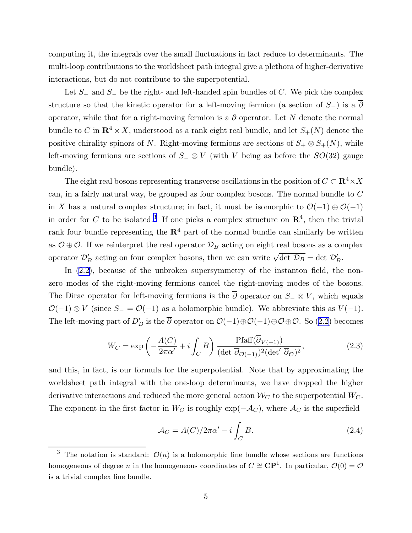<span id="page-5-0"></span>computing it, the integrals over the small fluctuations in fact reduce to determinants. The multi-loop contributions to the worldsheet path integral give a plethora of higher-derivative interactions, but do not contribute to the superpotential.

Let  $S_+$  and  $S_-$  be the right- and left-handed spin bundles of C. We pick the complex structure so that the kinetic operator for a left-moving fermion (a section of  $S_$ ) is a  $\overline{\partial}$ operator, while that for a right-moving fermion is a  $\partial$  operator. Let N denote the normal bundle to C in  $\mathbb{R}^4 \times X$ , understood as a rank eight real bundle, and let  $S_+(N)$  denote the positive chirality spinors of N. Right-moving fermions are sections of  $S_+ \otimes S_+(N)$ , while left-moving fermions are sections of  $S_-\otimes V$  (with V being as before the  $SO(32)$  gauge bundle).

The eight real bosons representing transverse oscillations in the position of  $C \subset \mathbf{R}^4 \times X$ can, in a fairly natural way, be grouped as four complex bosons. The normal bundle to C in X has a natural complex structure; in fact, it must be isomorphic to  $\mathcal{O}(-1) \oplus \mathcal{O}(-1)$ in order for C to be isolated.<sup>3</sup> If one picks a complex structure on  $\mathbb{R}^4$ , then the trivial rank four bundle representing the  $\mathbb{R}^4$  part of the normal bundle can similarly be written as  $\mathcal{O} \oplus \mathcal{O}$ . If we reinterpret the real operator  $\mathcal{D}_B$  acting on eight real bosons as a complex operator  $\mathcal{D}'_B$  acting on four complex bosons, then we can write  $\sqrt{\det \mathcal{D}_B} = \det \mathcal{D}'_B$ .

In  $(2.2)$ , because of the unbroken supersymmetry of the instanton field, the nonzero modes of the right-moving fermions cancel the right-moving modes of the bosons. The Dirac operator for left-moving fermions is the  $\overline{\partial}$  operator on  $S_-\otimes V$ , which equals  $\mathcal{O}(-1) \otimes V$  (since  $S_-=\mathcal{O}(-1)$  as a holomorphic bundle). We abbreviate this as  $V(-1)$ . The left-moving part of  $D'_B$  is the  $\overline{\partial}$  operator on  $\mathcal{O}(-1)\oplus \mathcal{O}(-1)\oplus \mathcal{O}\oplus \mathcal{O}$ . So [\(2.2\)](#page-4-0) becomes

$$
W_C = \exp\left(-\frac{A(C)}{2\pi\alpha'} + i \int_C B\right) \frac{\text{Pfaff}(\overline{\partial}_{V(-1)})}{(\det \overline{\partial}_{\mathcal{O}(-1)})^2 (\det' \overline{\partial}_{\mathcal{O}})^2},\tag{2.3}
$$

and this, in fact, is our formula for the superpotential. Note that by approximating the worldsheet path integral with the one-loop determinants, we have dropped the higher derivative interactions and reduced the more general action  $\mathcal{W}_{C}$  to the superpotential  $W_{C}$ . The exponent in the first factor in  $W_C$  is roughly  $\exp(-\mathcal{A}_C)$ , where  $\mathcal{A}_C$  is the superfield

$$
\mathcal{A}_C = A(C)/2\pi\alpha' - i \int_C B.
$$
\n(2.4)

<sup>&</sup>lt;sup>3</sup> The notation is standard:  $\mathcal{O}(n)$  is a holomorphic line bundle whose sections are functions homogeneous of degree n in the homogeneous coordinates of  $C \cong \mathbb{CP}^1$ . In particular,  $\mathcal{O}(0) = \mathcal{O}$ is a trivial complex line bundle.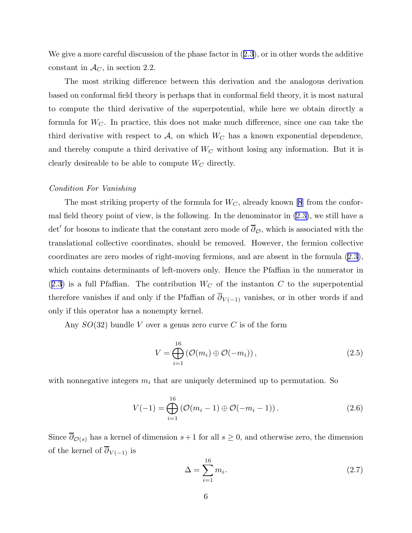Wegive a more careful discussion of the phase factor in  $(2.3)$  $(2.3)$  $(2.3)$ , or in other words the additive constant in  $\mathcal{A}_C$ , in section 2.2.

The most striking difference between this derivation and the analogous derivation based on conformal field theory is perhaps that in conformal field theory, it is most natural to compute the third derivative of the superpotential, while here we obtain directly a formula for  $W_C$ . In practice, this does not make much difference, since one can take the third derivative with respect to  $A$ , on which  $W_C$  has a known exponential dependence, and thereby compute a third derivative of  $W_C$  without losing any information. But it is clearly desireable to be able to compute  $W_C$  directly.

#### Condition For Vanishing

The most striking property of the formula for  $W_C$ , already known [\[8](#page-18-0)] from the conformal field theory point of view, is the following. In the denominator in [\(2.3\)](#page-5-0), we still have a det' for bosons to indicate that the constant zero mode of  $\overline{\partial}_{\mathcal{O}}$ , which is associated with the translational collective coordinates, should be removed. However, the fermion collective coordinates are zero modes of right-moving fermions, and are absent in the formula([2.3](#page-5-0)), which contains determinants of left-movers only. Hence the Pfaffian in the numerator in  $(2.3)$  $(2.3)$  $(2.3)$  is a full Pfaffian. The contribution  $W_C$  of the instanton C to the superpotential therefore vanishes if and only if the Pfaffian of  $\overline{\partial}_{V(-1)}$  vanishes, or in other words if and only if this operator has a nonempty kernel.

Any  $SO(32)$  bundle V over a genus zero curve C is of the form

$$
V = \bigoplus_{i=1}^{16} \left( \mathcal{O}(m_i) \oplus \mathcal{O}(-m_i) \right), \tag{2.5}
$$

with nonnegative integers  $m_i$  that are uniquely determined up to permutation. So

$$
V(-1) = \bigoplus_{i=1}^{16} (\mathcal{O}(m_i - 1) \oplus \mathcal{O}(-m_i - 1)).
$$
 (2.6)

Since  $\overline{\partial}_{\mathcal{O}(s)}$  has a kernel of dimension  $s+1$  for all  $s \geq 0$ , and otherwise zero, the dimension of the kernel of  $\overline{\partial}_{V(-1)}$  is

$$
\Delta = \sum_{i=1}^{16} m_i. \tag{2.7}
$$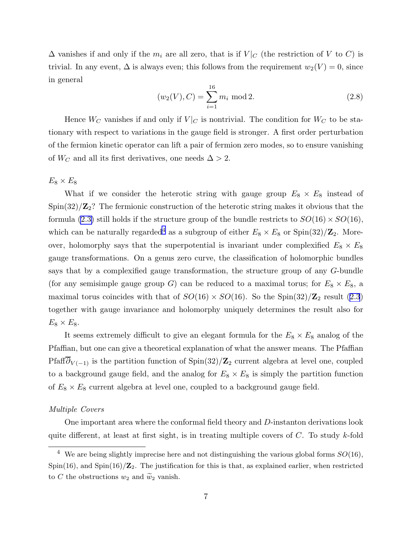$\Delta$  vanishes if and only if the  $m_i$  are all zero, that is if  $V|_C$  (the restriction of V to C) is trivial. In any event,  $\Delta$  is always even; this follows from the requirement  $w_2(V) = 0$ , since in general

$$
(w_2(V), C) = \sum_{i=1}^{16} m_i \text{ mod } 2.
$$
 (2.8)

Hence  $W_C$  vanishes if and only if  $V|_C$  is nontrivial. The condition for  $W_C$  to be stationary with respect to variations in the gauge field is stronger. A first order perturbation of the fermion kinetic operator can lift a pair of fermion zero modes, so to ensure vanishing of  $W_C$  and all its first derivatives, one needs  $\Delta > 2$ .

 $E_8 \times E_8$ 

What if we consider the heterotic string with gauge group  $E_8 \times E_8$  instead of  $\text{Spin}(32)/\mathbb{Z}_2$ ? The fermionic construction of the heterotic string makes it obvious that the formula [\(2.3\)](#page-5-0) still holds if the structure group of the bundle restricts to  $SO(16) \times SO(16)$ , which can be naturally regarded<sup>4</sup> as a subgroup of either  $E_8 \times E_8$  or Spin(32)/ $\mathbb{Z}_2$ . Moreover, holomorphy says that the superpotential is invariant under complexified  $E_8 \times E_8$ gauge transformations. On a genus zero curve, the classification of holomorphic bundles says that by a complexified gauge transformation, the structure group of any G-bundle (for any semisimple gauge group G) can be reduced to a maximal torus; for  $E_8 \times E_8$ , a maximal torus coincides with that of  $SO(16) \times SO(16)$ . So the Spin $(32)/\mathbb{Z}_2$  result  $(2.3)$ together with gauge invariance and holomorphy uniquely determines the result also for  $E_8 \times E_8$ .

It seems extremely difficult to give an elegant formula for the  $E_8 \times E_8$  analog of the Pfaffian, but one can give a theoretical explanation of what the answer means. The Pfaffian Pfaff $\overline{\partial}_{V(-1)}$  is the partition function of Spin(32)/Z<sub>2</sub> current algebra at level one, coupled to a background gauge field, and the analog for  $E_8 \times E_8$  is simply the partition function of  $E_8 \times E_8$  current algebra at level one, coupled to a background gauge field.

# Multiple Covers

One important area where the conformal field theory and D-instanton derivations look quite different, at least at first sight, is in treating multiple covers of  $C$ . To study k-fold

<sup>&</sup>lt;sup>4</sup> We are being slightly imprecise here and not distinguishing the various global forms  $SO(16)$ , Spin(16), and Spin(16)/ $\mathbb{Z}_2$ . The justification for this is that, as explained earlier, when restricted to C the obstructions  $w_2$  and  $\widetilde{w}_2$  vanish.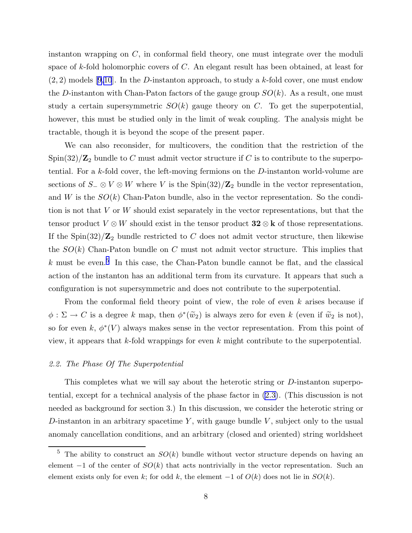instanton wrapping on  $C$ , in conformal field theory, one must integrate over the moduli space of k-fold holomorphic covers of C. An elegant result has been obtained, at least for  $(2, 2)$  models [\[9,10](#page-18-0)]. In the D-instanton approach, to study a k-fold cover, one must endow the D-instanton with Chan-Paton factors of the gauge group  $SO(k)$ . As a result, one must study a certain supersymmetric  $SO(k)$  gauge theory on C. To get the superpotential, however, this must be studied only in the limit of weak coupling. The analysis might be tractable, though it is beyond the scope of the present paper.

We can also reconsider, for multicovers, the condition that the restriction of the Spin(32)/ $\mathbb{Z}_2$  bundle to C must admit vector structure if C is to contribute to the superpotential. For a k-fold cover, the left-moving fermions on the D-instanton world-volume are sections of  $S_-\otimes V\otimes W$  where V is the Spin(32)/Z<sub>2</sub> bundle in the vector representation, and W is the  $SO(k)$  Chan-Paton bundle, also in the vector representation. So the condition is not that V or W should exist separately in the vector representations, but that the tensor product  $V \otimes W$  should exist in the tensor product  $32 \otimes k$  of those representations. If the Spin $(32)/\mathbb{Z}_2$  bundle restricted to C does not admit vector structure, then likewise the  $SO(k)$  Chan-Paton bundle on C must not admit vector structure. This implies that  $k$  must be even.<sup>5</sup> In this case, the Chan-Paton bundle cannot be flat, and the classical action of the instanton has an additional term from its curvature. It appears that such a configuration is not supersymmetric and does not contribute to the superpotential.

From the conformal field theory point of view, the role of even  $k$  arises because if  $\phi : \Sigma \to C$  is a degree k map, then  $\phi^*(\tilde{w}_2)$  is always zero for even k (even if  $\tilde{w}_2$  is not), so for even k,  $\phi^*(V)$  always makes sense in the vector representation. From this point of view, it appears that  $k$ -fold wrappings for even  $k$  might contribute to the superpotential.

#### 2.2. The Phase Of The Superpotential

This completes what we will say about the heterotic string or D-instanton superpotential, except for a technical analysis of the phase factor in [\(2.3\)](#page-5-0). (This discussion is not needed as background for section 3.) In this discussion, we consider the heterotic string or D-instanton in an arbitrary spacetime  $Y$ , with gauge bundle  $V$ , subject only to the usual anomaly cancellation conditions, and an arbitrary (closed and oriented) string worldsheet

<sup>&</sup>lt;sup>5</sup> The ability to construct an  $SO(k)$  bundle without vector structure depends on having an element  $-1$  of the center of  $SO(k)$  that acts nontrivially in the vector representation. Such an element exists only for even k; for odd k, the element  $-1$  of  $O(k)$  does not lie in  $SO(k)$ .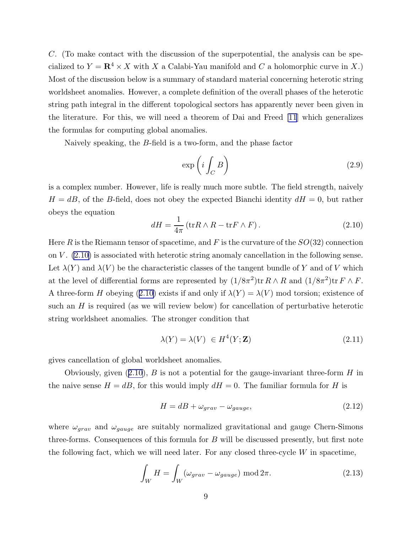<span id="page-9-0"></span>C. (To make contact with the discussion of the superpotential, the analysis can be specialized to  $Y = \mathbb{R}^4 \times X$  with X a Calabi-Yau manifold and C a holomorphic curve in X.) Most of the discussion below is a summary of standard material concerning heterotic string worldsheet anomalies. However, a complete definition of the overall phases of the heterotic string path integral in the different topological sectors has apparently never been given in the literature. For this, we will need a theorem of Dai and Freed [\[11](#page-18-0)] which generalizes the formulas for computing global anomalies.

Naively speaking, the B-field is a two-form, and the phase factor

$$
\exp\left(i\int_C B\right) \tag{2.9}
$$

is a complex number. However, life is really much more subtle. The field strength, naively  $H = dB$ , of the B-field, does not obey the expected Bianchi identity  $dH = 0$ , but rather obeys the equation

$$
dH = \frac{1}{4\pi} \left( \text{tr}R \wedge R - \text{tr}F \wedge F \right). \tag{2.10}
$$

Here R is the Riemann tensor of spacetime, and F is the curvature of the  $SO(32)$  connection on  $V$ .  $(2.10)$  is associated with heterotic string anomaly cancellation in the following sense. Let  $\lambda(Y)$  and  $\lambda(V)$  be the characteristic classes of the tangent bundle of Y and of V which at the level of differential forms are represented by  $(1/8\pi^2)$ tr  $R \wedge R$  and  $(1/8\pi^2)$ tr  $F \wedge F$ . A three-form H obeying (2.10) exists if and only if  $\lambda(Y) = \lambda(V)$  mod torsion; existence of such an H is required (as we will review below) for cancellation of perturbative heterotic string worldsheet anomalies. The stronger condition that

$$
\lambda(Y) = \lambda(V) \in H^4(Y; \mathbf{Z}) \tag{2.11}
$$

gives cancellation of global worldsheet anomalies.

Obviously, given  $(2.10)$ , B is not a potential for the gauge-invariant three-form H in the naive sense  $H = dB$ , for this would imply  $dH = 0$ . The familiar formula for H is

$$
H = dB + \omega_{grav} - \omega_{gauge}, \qquad (2.12)
$$

where  $\omega_{grav}$  and  $\omega_{gauge}$  are suitably normalized gravitational and gauge Chern-Simons three-forms. Consequences of this formula for B will be discussed presently, but first note the following fact, which we will need later. For any closed three-cycle  $W$  in spacetime,

$$
\int_{W} H = \int_{W} (\omega_{grav} - \omega_{gauge}) \text{ mod } 2\pi.
$$
\n(2.13)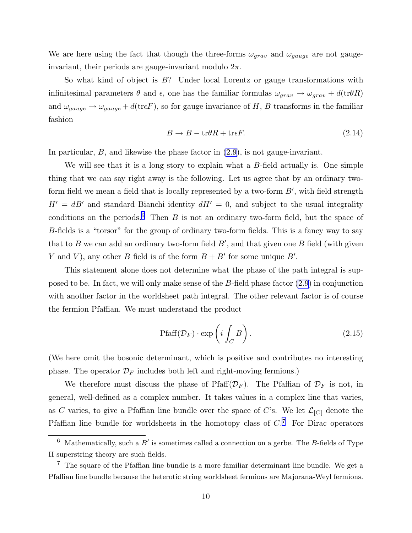We are here using the fact that though the three-forms  $\omega_{grav}$  and  $\omega_{gauge}$  are not gaugeinvariant, their periods are gauge-invariant modulo  $2\pi$ .

So what kind of object is  $B$ ? Under local Lorentz or gauge transformations with infinitesimal parameters  $\theta$  and  $\epsilon$ , one has the familiar formulas  $\omega_{grav} \to \omega_{grav} + d(\text{tr}\theta R)$ and  $\omega_{gauge} \to \omega_{gauge} + d(\text{tr} \epsilon F)$ , so for gauge invariance of H, B transforms in the familiar fashion

$$
B \to B - \text{tr}\theta R + \text{tr}\epsilon F. \tag{2.14}
$$

In particular, B, and likewise the phase factor in [\(2.9\)](#page-9-0), is not gauge-invariant.

We will see that it is a long story to explain what a  $B$ -field actually is. One simple thing that we can say right away is the following. Let us agree that by an ordinary twoform field we mean a field that is locally represented by a two-form  $B'$ , with field strength  $H' = dB'$  and standard Bianchi identity  $dH' = 0$ , and subject to the usual integrality conditions on the periods.<sup>6</sup> Then  $B$  is not an ordinary two-form field, but the space of B-fields is a "torsor" for the group of ordinary two-form fields. This is a fancy way to say that to  $B$  we can add an ordinary two-form field  $B'$ , and that given one  $B$  field (with given Y and V), any other B field is of the form  $B + B'$  for some unique B'.

This statement alone does not determine what the phase of the path integral is supposed to be. In fact, we will only make sense of the B-field phase factor [\(2.9\)](#page-9-0) in conjunction with another factor in the worldsheet path integral. The other relevant factor is of course the fermion Pfaffian. We must understand the product

$$
\text{Pfaff}(\mathcal{D}_F) \cdot \exp\left(i \int_C B\right). \tag{2.15}
$$

(We here omit the bosonic determinant, which is positive and contributes no interesting phase. The operator  $\mathcal{D}_F$  includes both left and right-moving fermions.)

We therefore must discuss the phase of Pfaff $(\mathcal{D}_F)$ . The Pfaffian of  $\mathcal{D}_F$  is not, in general, well-defined as a complex number. It takes values in a complex line that varies, as C varies, to give a Pfaffian line bundle over the space of C's. We let  $\mathcal{L}_{[C]}$  denote the Pfaffian line bundle for worldsheets in the homotopy class of  $C$ <sup>7</sup>. For Dirac operators

 $6$  Mathematically, such a B' is sometimes called a connection on a gerbe. The B-fields of Type II superstring theory are such fields.

 $7$  The square of the Pfaffian line bundle is a more familiar determinant line bundle. We get a Pfaffian line bundle because the heterotic string worldsheet fermions are Majorana-Weyl fermions.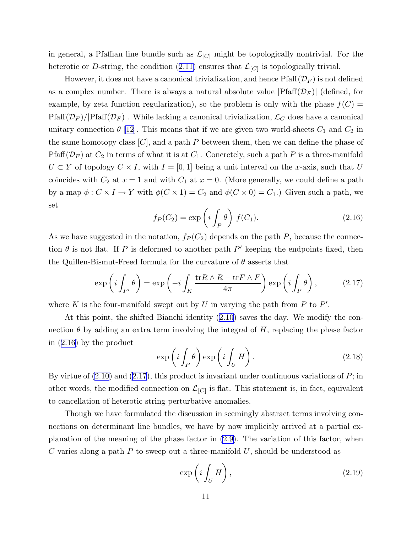<span id="page-11-0"></span>in general, a Pfaffian line bundle such as  $\mathcal{L}_{[C]}$  might be topologically nontrivial. For the heteroticor D-string, the condition ([2.11](#page-9-0)) ensures that  $\mathcal{L}_{[C]}$  is topologically trivial.

However, it does not have a canonical trivialization, and hence  $\text{Pfaff}(\mathcal{D}_F)$  is not defined as a complex number. There is always a natural absolute value  $|Pfaff(\mathcal{D}_F)|$  (defined, for example, by zeta function regularization), so the problem is only with the phase  $f(C)$  =  $Pfaff(\mathcal{D}_F)/|Pfaff(\mathcal{D}_F)|$ . While lacking a canonical trivialization,  $\mathcal{L}_C$  does have a canonical unitary connection  $\theta$  [\[12](#page-18-0)]. This means that if we are given two world-sheets  $C_1$  and  $C_2$  in the same homotopy class  $[C]$ , and a path P between them, then we can define the phase of Pfaff( $\mathcal{D}_F$ ) at  $C_2$  in terms of what it is at  $C_1$ . Concretely, such a path P is a three-manifold  $U \subset Y$  of topology  $C \times I$ , with  $I = [0, 1]$  being a unit interval on the x-axis, such that U coincides with  $C_2$  at  $x = 1$  and with  $C_1$  at  $x = 0$ . (More generally, we could define a path by a map  $\phi: C \times I \to Y$  with  $\phi(C \times 1) = C_2$  and  $\phi(C \times 0) = C_1$ .) Given such a path, we set

$$
f_P(C_2) = \exp\left(i \int_P \theta\right) f(C_1). \tag{2.16}
$$

As we have suggested in the notation,  $f_P(C_2)$  depends on the path P, because the connection  $\theta$  is not flat. If P is deformed to another path P' keeping the endpoints fixed, then the Quillen-Bismut-Freed formula for the curvature of  $\theta$  asserts that

$$
\exp\left(i\int_{P'}\theta\right) = \exp\left(-i\int_K \frac{\text{tr}R\wedge R - \text{tr}F\wedge F}{4\pi}\right) \exp\left(i\int_P \theta\right),\tag{2.17}
$$

where K is the four-manifold swept out by U in varying the path from P to  $P'$ .

At this point, the shifted Bianchi identity([2.10](#page-9-0)) saves the day. We modify the connection  $\theta$  by adding an extra term involving the integral of H, replacing the phase factor in (2.16) by the product

$$
\exp\left(i\int_P \theta\right) \exp\left(i\int_U H\right). \tag{2.18}
$$

Byvirtue of  $(2.10)$  $(2.10)$  $(2.10)$  and  $(2.17)$ , this product is invariant under continuous variations of  $P$ ; in other words, the modified connection on  $\mathcal{L}_{[C]}$  is flat. This statement is, in fact, equivalent to cancellation of heterotic string perturbative anomalies.

Though we have formulated the discussion in seemingly abstract terms involving connections on determinant line bundles, we have by now implicitly arrived at a partial explanation of the meaning of the phase factor in [\(2.9\)](#page-9-0). The variation of this factor, when C varies along a path  $P$  to sweep out a three-manifold  $U$ , should be understood as

$$
\exp\left(i\int_U H\right),\tag{2.19}
$$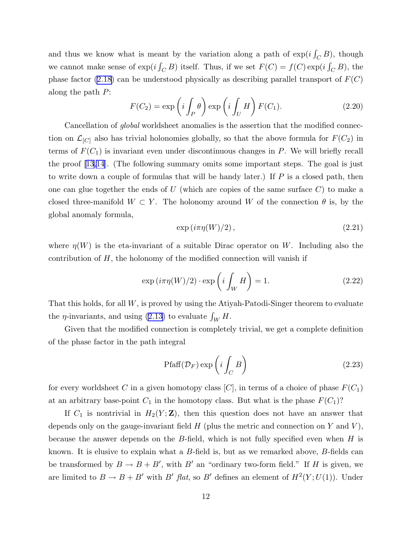<span id="page-12-0"></span>and thus we know what is meant by the variation along a path of  $\exp(i\int_C B)$ , though we cannot make sense of  $\exp(i\int_C B)$  itself. Thus, if we set  $F(C) = f(C) \exp(i\int_C B)$ , the phase factor [\(2.18\)](#page-11-0) can be understood physically as describing parallel transport of  $F(C)$ along the path P:

$$
F(C_2) = \exp\left(i \int_P \theta\right) \exp\left(i \int_U H\right) F(C_1). \tag{2.20}
$$

Cancellation of *global* worldsheet anomalies is the assertion that the modified connection on  $\mathcal{L}_{[C]}$  also has trivial holonomies globally, so that the above formula for  $F(C_2)$  in terms of  $F(C_1)$  is invariant even under discontinuous changes in P. We will briefly recall the proof[[13,14](#page-18-0)]. (The following summary omits some important steps. The goal is just to write down a couple of formulas that will be handy later.) If  $P$  is a closed path, then one can glue together the ends of  $U$  (which are copies of the same surface  $C$ ) to make a closed three-manifold  $W \subset Y$ . The holonomy around W of the connection  $\theta$  is, by the global anomaly formula,

$$
\exp(i\pi\eta(W)/2),\tag{2.21}
$$

where  $\eta(W)$  is the eta-invariant of a suitable Dirac operator on W. Including also the contribution of  $H$ , the holonomy of the modified connection will vanish if

$$
\exp(i\pi\eta(W)/2)\cdot\exp\left(i\int_{W}H\right) = 1.\tag{2.22}
$$

That this holds, for all W, is proved by using the Atiyah-Patodi-Singer theorem to evaluate the  $\eta$ -invariants, and using [\(2.13\)](#page-9-0) to evaluate  $\int_W H$ .

Given that the modified connection is completely trivial, we get a complete definition of the phase factor in the path integral

$$
\text{Pfaff}(\mathcal{D}_F) \exp\left(i \int_C B\right) \tag{2.23}
$$

for every worldsheet C in a given homotopy class  $[C]$ , in terms of a choice of phase  $F(C_1)$ at an arbitrary base-point  $C_1$  in the homotopy class. But what is the phase  $F(C_1)$ ?

If  $C_1$  is nontrivial in  $H_2(Y; \mathbf{Z})$ , then this question does not have an answer that depends only on the gauge-invariant field  $H$  (plus the metric and connection on Y and V), because the answer depends on the  $B$ -field, which is not fully specified even when  $H$  is known. It is elusive to explain what a B-field is, but as we remarked above, B-fields can be transformed by  $B \to B + B'$ , with  $B'$  an "ordinary two-form field." If H is given, we are limited to  $B \to B + B'$  with  $B'$  flat, so  $B'$  defines an element of  $H^2(Y; U(1))$ . Under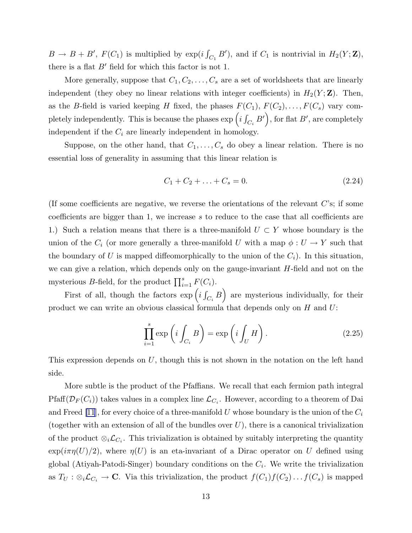$B \to B + B'$ ,  $F(C_1)$  is multiplied by  $\exp(i \int_{C_1} B')$ , and if  $C_1$  is nontrivial in  $H_2(Y; \mathbf{Z})$ , there is a flat  $B'$  field for which this factor is not 1.

More generally, suppose that  $C_1, C_2, \ldots, C_s$  are a set of worldsheets that are linearly independent (they obey no linear relations with integer coefficients) in  $H_2(Y; \mathbf{Z})$ . Then, as the B-field is varied keeping H fixed, the phases  $F(C_1), F(C_2), \ldots, F(C_s)$  vary completely independently. This is because the phases  $\exp\left(i\int_{C_i}B'\right)$ , for flat  $B'$ , are completely independent if the  $C_i$  are linearly independent in homology.

Suppose, on the other hand, that  $C_1, \ldots, C_s$  do obey a linear relation. There is no essential loss of generality in assuming that this linear relation is

$$
C_1 + C_2 + \ldots + C_s = 0. \tag{2.24}
$$

(If some coefficients are negative, we reverse the orientations of the relevant  $C$ 's; if some coefficients are bigger than 1, we increase s to reduce to the case that all coefficients are 1.) Such a relation means that there is a three-manifold  $U \subset Y$  whose boundary is the union of the  $C_i$  (or more generally a three-manifold U with a map  $\phi: U \to Y$  such that the boundary of U is mapped diffeomorphically to the union of the  $C_i$ ). In this situation, we can give a relation, which depends only on the gauge-invariant  $H$ -field and not on the mysterious B-field, for the product  $\prod_{i=1}^{s} F(C_i)$ .

First of all, though the factors  $\exp\left(i\int_{C_i}B\right)$  are mysterious individually, for their product we can write an obvious classical formula that depends only on  $H$  and  $U$ :

$$
\prod_{i=1}^{s} \exp\left(i \int_{C_i} B\right) = \exp\left(i \int_U H\right). \tag{2.25}
$$

This expression depends on U, though this is not shown in the notation on the left hand side.

More subtle is the product of the Pfaffians. We recall that each fermion path integral Pfaff $(\mathcal{D}_F(C_i))$  takes values in a complex line  $\mathcal{L}_{C_i}$ . However, according to a theorem of Dai and Freed [\[11](#page-18-0)], for every choice of a three-manifold U whose boundary is the union of the  $C_i$ (together with an extension of all of the bundles over  $U$ ), there is a canonical trivialization of the product  $\otimes_i \mathcal{L}_{C_i}$ . This trivialization is obtained by suitably interpreting the quantity  $\exp(i\pi\eta(U)/2)$ , where  $\eta(U)$  is an eta-invariant of a Dirac operator on U defined using global (Atiyah-Patodi-Singer) boundary conditions on the  $C_i$ . We write the trivialization as  $T_U : \otimes_i \mathcal{L}_{C_i} \to \mathbb{C}$ . Via this trivialization, the product  $f(C_1)f(C_2)...f(C_s)$  is mapped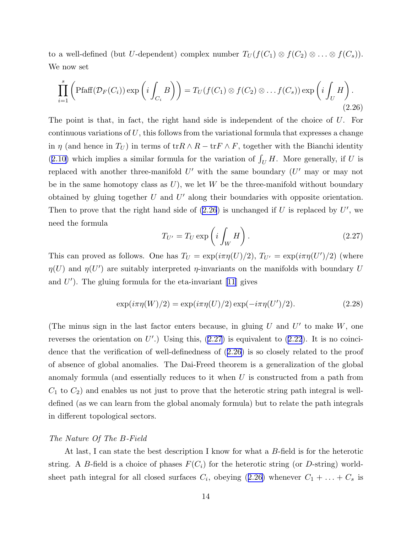<span id="page-14-0"></span>to a well-defined (but U-dependent) complex number  $T_U(f(C_1) \otimes f(C_2) \otimes \ldots \otimes f(C_s)).$ We now set

$$
\prod_{i=1}^{s} \left( \text{Pfaff}(\mathcal{D}_F(C_i)) \exp\left(i \int_{C_i} B\right) \right) = T_U(f(C_1) \otimes f(C_2) \otimes \dots f(C_s)) \exp\left(i \int_U H\right).
$$
\n(2.26)

The point is that, in fact, the right hand side is independent of the choice of U. For continuous variations of  $U$ , this follows from the variational formula that expresses a change in  $\eta$  (and hence in  $T_U$ ) in terms of tr $R \wedge R - \text{tr } F \wedge F$ , together with the Bianchi identity ([2.10](#page-9-0)) which implies a similar formula for the variation of  $\int_U H$ . More generally, if U is replaced with another three-manifold  $U'$  with the same boundary  $(U'$  may or may not be in the same homotopy class as  $U$ ), we let W be the three-manifold without boundary obtained by gluing together  $U$  and  $U'$  along their boundaries with opposite orientation. Then to prove that the right hand side of  $(2.26)$  is unchanged if U is replaced by U', we need the formula

$$
T_{U'} = T_U \exp\left(i \int_W H\right). \tag{2.27}
$$

This can proved as follows. One has  $T_U = \exp(i\pi\eta(U)/2)$ ,  $T_{U'} = \exp(i\pi\eta(U')/2)$  (where  $\eta(U)$  and  $\eta(U')$  are suitably interpreted  $\eta$ -invariants on the manifolds with boundary U and  $U'$ ). The gluing formula for the eta-invariant [\[11](#page-18-0)] gives

$$
\exp(i\pi\eta(W)/2) = \exp(i\pi\eta(U)/2)\exp(-i\pi\eta(U')/2). \tag{2.28}
$$

(The minus sign in the last factor enters because, in gluing  $U$  and  $U'$  to make  $W$ , one reverses the orientation on  $U'$ .) Using this,  $(2.27)$  is equivalent to  $(2.22)$ . It is no coincidence that the verification of well-definedness of (2.26) is so closely related to the proof of absence of global anomalies. The Dai-Freed theorem is a generalization of the global anomaly formula (and essentially reduces to it when U is constructed from a path from  $C_1$  to  $C_2$ ) and enables us not just to prove that the heterotic string path integral is welldefined (as we can learn from the global anomaly formula) but to relate the path integrals in different topological sectors.

# The Nature Of The B-Field

At last, I can state the best description I know for what a B-field is for the heterotic string. A B-field is a choice of phases  $F(C_i)$  for the heterotic string (or D-string) worldsheet path integral for all closed surfaces  $C_i$ , obeying  $(2.26)$  whenever  $C_1 + \ldots + C_s$  is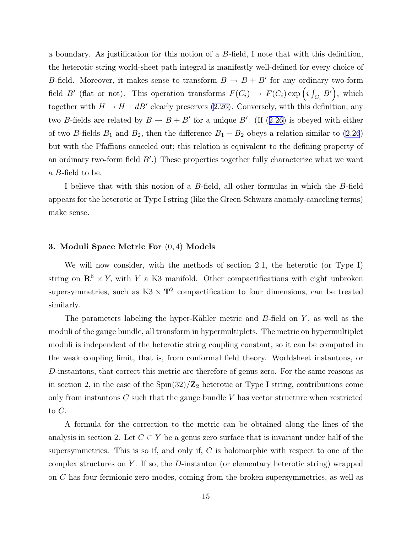a boundary. As justification for this notion of a B-field, I note that with this definition, the heterotic string world-sheet path integral is manifestly well-defined for every choice of B-field. Moreover, it makes sense to transform  $B \to B + B'$  for any ordinary two-form field B' (flat or not). This operation transforms  $F(C_i) \rightarrow F(C_i) \exp(i \int_{C_i} B')$ , which togetherwith  $H \to H + dB'$  clearly preserves ([2.26\)](#page-14-0). Conversely, with this definition, any twoB-fields are related by  $B \to B + B'$  for a unique B'. (If ([2.26](#page-14-0)) is obeyed with either of two B-fields  $B_1$  and  $B_2$ , then the difference  $B_1 - B_2$  obeys a relation similar to [\(2.26](#page-14-0)) but with the Pfaffians canceled out; this relation is equivalent to the defining property of an ordinary two-form field  $B'$ .) These properties together fully characterize what we want a B-field to be.

I believe that with this notion of a B-field, all other formulas in which the B-field appears for the heterotic or Type I string (like the Green-Schwarz anomaly-canceling terms) make sense.

#### 3. Moduli Space Metric For (0, 4) Models

We will now consider, with the methods of section 2.1, the heterotic (or Type I) string on  $\mathbb{R}^6 \times Y$ , with Y a K3 manifold. Other compactifications with eight unbroken supersymmetries, such as  $K3 \times T^2$  compactification to four dimensions, can be treated similarly.

The parameters labeling the hyper-Kähler metric and  $B$ -field on  $Y$ , as well as the moduli of the gauge bundle, all transform in hypermultiplets. The metric on hypermultiplet moduli is independent of the heterotic string coupling constant, so it can be computed in the weak coupling limit, that is, from conformal field theory. Worldsheet instantons, or D-instantons, that correct this metric are therefore of genus zero. For the same reasons as in section 2, in the case of the  $\text{Spin}(32)/\mathbb{Z}_2$  heterotic or Type I string, contributions come only from instantons  $C$  such that the gauge bundle  $V$  has vector structure when restricted to  $C$ .

A formula for the correction to the metric can be obtained along the lines of the analysis in section 2. Let  $C \subset Y$  be a genus zero surface that is invariant under half of the supersymmetries. This is so if, and only if,  $C$  is holomorphic with respect to one of the complex structures on Y. If so, the D-instanton (or elementary heterotic string) wrapped on C has four fermionic zero modes, coming from the broken supersymmetries, as well as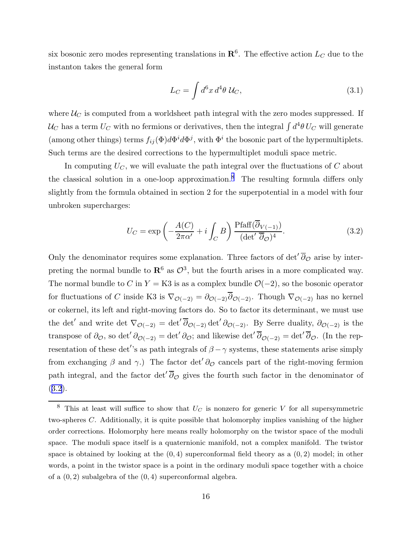six bosonic zero modes representing translations in  $\mathbf{R}^6$ . The effective action  $L_C$  due to the instanton takes the general form

$$
L_C = \int d^6x \, d^4\theta \, \mathcal{U}_C,\tag{3.1}
$$

where  $\mathcal{U}_C$  is computed from a worldsheet path integral with the zero modes suppressed. If  $\mathcal{U}_C$  has a term  $U_C$  with no fermions or derivatives, then the integral  $\int d^4\theta\, U_C$  will generate (among other things) terms  $f_{ij}(\Phi)d\Phi^i d\Phi^j$ , with  $\Phi^i$  the bosonic part of the hypermultiplets. Such terms are the desired corrections to the hypermultiplet moduli space metric.

In computing  $U_C$ , we will evaluate the path integral over the fluctuations of  $C$  about the classical solution in a one-loop approximation.<sup>8</sup> The resulting formula differs only slightly from the formula obtained in section 2 for the superpotential in a model with four unbroken supercharges:

$$
U_C = \exp\left(-\frac{A(C)}{2\pi\alpha'} + i \int_C B\right) \frac{\text{Pfaff}(\overline{\partial}_{V(-1)})}{(\det' \overline{\partial}_{\mathcal{O}})^4}.
$$
 (3.2)

Only the denominator requires some explanation. Three factors of det<sup> $\overline{\partial}_{\mathcal{O}}$ </sup> arise by interpreting the normal bundle to  $\mathbb{R}^6$  as  $\mathcal{O}^3$ , but the fourth arises in a more complicated way. The normal bundle to C in  $Y = K3$  is as a complex bundle  $\mathcal{O}(-2)$ , so the bosonic operator for fluctuations of C inside K3 is  $\nabla_{\mathcal{O}(-2)} = \partial_{\mathcal{O}(-2)}\overline{\partial}_{\mathcal{O}(-2)}$ . Though  $\nabla_{\mathcal{O}(-2)}$  has no kernel or cokernel, its left and right-moving factors do. So to factor its determinant, we must use the det' and write det  $\nabla_{\mathcal{O}(-2)} = \det' \overline{\partial}_{\mathcal{O}(-2)} \det' \partial_{\mathcal{O}(-2)}$ . By Serre duality,  $\partial_{\mathcal{O}(-2)}$  is the transpose of  $\partial_{\mathcal{O}}$ , so det'  $\partial_{\mathcal{O}(-2)} = \det' \partial_{\mathcal{O}}$ ; and likewise det'  $\overline{\partial}_{\mathcal{O}(-2)} = \det' \overline{\partial}_{\mathcal{O}}$ . (In the representation of these det''s as path integrals of  $\beta - \gamma$  systems, these statements arise simply from exchanging  $\beta$  and  $\gamma$ .) The factor det'  $\partial_{\mathcal{O}}$  cancels part of the right-moving fermion path integral, and the factor det<sup> $\overline{\partial}_{\mathcal{O}}$ </sup> gives the fourth such factor in the denominator of (3.2).

<sup>&</sup>lt;sup>8</sup> This at least will suffice to show that  $U_C$  is nonzero for generic V for all supersymmetric two-spheres C. Additionally, it is quite possible that holomorphy implies vanishing of the higher order corrections. Holomorphy here means really holomorphy on the twistor space of the moduli space. The moduli space itself is a quaternionic manifold, not a complex manifold. The twistor space is obtained by looking at the  $(0, 4)$  superconformal field theory as a  $(0, 2)$  model; in other words, a point in the twistor space is a point in the ordinary moduli space together with a choice of a  $(0, 2)$  subalgebra of the  $(0, 4)$  superconformal algebra.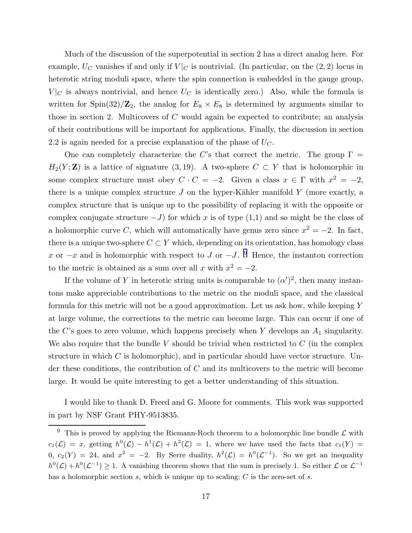Much of the discussion of the superpotential in section 2 has a direct analog here. For example,  $U_C$  vanishes if and only if  $V|_C$  is nontrivial. (In particular, on the (2, 2) locus in heterotic string moduli space, where the spin connection is embedded in the gauge group,  $V|_C$  is always nontrivial, and hence  $U_C$  is identically zero.) Also, while the formula is written for  $\text{Spin}(32)/\mathbb{Z}_2$ , the analog for  $E_8 \times E_8$  is determined by arguments similar to those in section 2. Multicovers of  $C$  would again be expected to contribute; an analysis of their contributions will be important for applications. Finally, the discussion in section 2.2 is again needed for a precise explanation of the phase of  $U_C$ .

One can completely characterize the C's that correct the metric. The group  $\Gamma =$  $H_2(Y;\mathbf{Z})$  is a lattice of signature (3, 19). A two-sphere  $C \subset Y$  that is holomorphic in some complex structure must obey  $C \cdot C = -2$ . Given a class  $x \in \Gamma$  with  $x^2 = -2$ , there is a unique complex structure  $J$  on the hyper-Kähler manifold  $Y$  (more exactly, a complex structure that is unique up to the possibility of replacing it with the opposite or complex conjugate structure  $-J$ ) for which x is of type  $(1,1)$  and so might be the class of a holomorphic curve C, which will automatically have genus zero since  $x^2 = -2$ . In fact, there is a unique two-sphere  $C \subset Y$  which, depending on its orientation, has homology class x or  $-x$  and is holomorphic with respect to J or  $-J$ . <sup>9</sup> Hence, the instanton correction to the metric is obtained as a sum over all x with  $x^2 = -2$ .

If the volume of Y in heterotic string units is comparable to  $(\alpha')^2$ , then many instantons make appreciable contributions to the metric on the moduli space, and the classical formula for this metric will not be a good approximation. Let us ask how, while keeping Y at large volume, the corrections to the metric can become large. This can occur if one of the C's goes to zero volume, which happens precisely when Y develops an  $A_1$  singularity. We also require that the bundle V should be trivial when restricted to  $C$  (in the complex structure in which  $C$  is holomorphic), and in particular should have vector structure. Under these conditions, the contribution of C and its multicovers to the metric will become large. It would be quite interesting to get a better understanding of this situation.

I would like to thank D. Freed and G. Moore for comments. This work was supported in part by NSF Grant PHY-9513835.

 $^9\,$  This is proved by applying the Riemann-Roch theorem to a holomorphic line bundle  $\mathcal L$  with  $c_1(\mathcal{L}) = x$ , getting  $h^0(\mathcal{L}) - h^1(\mathcal{L}) + h^2(\mathcal{L}) = 1$ , where we have used the facts that  $c_1(Y) = 1$  $0, c_2(Y) = 24$ , and  $x^2 = -2$ . By Serre duality,  $h^2(\mathcal{L}) = h^0(\mathcal{L}^{-1})$ . So we get an inequality  $h^0(\mathcal{L}) + h^0(\mathcal{L}^{-1}) \geq 1$ . A vanishing theorem shows that the sum is precisely 1. So either  $\mathcal{L}$  or  $\mathcal{L}^{-1}$ has a holomorphic section  $s$ , which is unique up to scaling;  $C$  is the zero-set of  $s$ .